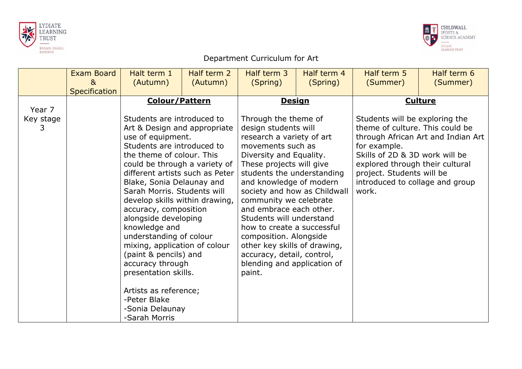



## Department Curriculum for Art

|                           | <b>Exam Board</b><br>8 <sub>k</sub><br>Specification | Halt term 1<br>(Autumn)                                                                                                                                                                                                                                                                                                                                                                                                                                                                                                                                                                                               | Half term 2<br>(Autumn) | Half term 3<br>(Spring)                                                                                                                                                                                                                                                                                                                                                                                                                                        | Half term 4<br>(Spring)                       | Half term 5<br>(Summer)                                                                                                                                                                                                         | Half term 6<br>(Summer)                              |
|---------------------------|------------------------------------------------------|-----------------------------------------------------------------------------------------------------------------------------------------------------------------------------------------------------------------------------------------------------------------------------------------------------------------------------------------------------------------------------------------------------------------------------------------------------------------------------------------------------------------------------------------------------------------------------------------------------------------------|-------------------------|----------------------------------------------------------------------------------------------------------------------------------------------------------------------------------------------------------------------------------------------------------------------------------------------------------------------------------------------------------------------------------------------------------------------------------------------------------------|-----------------------------------------------|---------------------------------------------------------------------------------------------------------------------------------------------------------------------------------------------------------------------------------|------------------------------------------------------|
| Year 7<br>Key stage<br>3. |                                                      | <b>Colour/Pattern</b><br>Students are introduced to<br>Art & Design and appropriate<br>use of equipment.<br>Students are introduced to<br>the theme of colour. This<br>could be through a variety of<br>different artists such as Peter<br>Blake, Sonia Delaunay and<br>Sarah Morris. Students will<br>develop skills within drawing,<br>accuracy, composition<br>alongside developing<br>knowledge and<br>understanding of colour<br>mixing, application of colour<br>(paint & pencils) and<br>accuracy through<br>presentation skills.<br>Artists as reference;<br>-Peter Blake<br>-Sonia Delaunay<br>-Sarah Morris |                         | Through the theme of<br>design students will<br>research a variety of art<br>movements such as<br>Diversity and Equality.<br>These projects will give<br>students the understanding<br>and knowledge of modern<br>community we celebrate<br>and embrace each other.<br>Students will understand<br>how to create a successful<br>composition. Alongside<br>other key skills of drawing,<br>accuracy, detail, control,<br>blending and application of<br>paint. | <b>Design</b><br>society and how as Childwall | Students will be exploring the<br>theme of culture. This could be<br>for example.<br>Skills of 2D & 3D work will be<br>explored through their cultural<br>project. Students will be<br>introduced to collage and group<br>work. | <b>Culture</b><br>through African Art and Indian Art |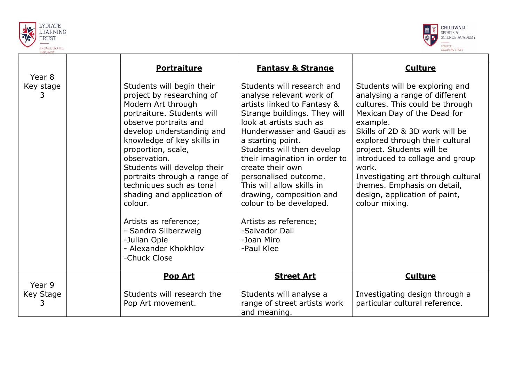



|                          | <b>Portraiture</b>                                                                                                                                                                                                                                                                                                                                                                                                                                                                | <b>Fantasy &amp; Strange</b>                                                                                                                                                                                                                                                                                                                                                                                                                                              | <b>Culture</b>                                                                                                                                                                                                                                                                                                                                                                                                       |
|--------------------------|-----------------------------------------------------------------------------------------------------------------------------------------------------------------------------------------------------------------------------------------------------------------------------------------------------------------------------------------------------------------------------------------------------------------------------------------------------------------------------------|---------------------------------------------------------------------------------------------------------------------------------------------------------------------------------------------------------------------------------------------------------------------------------------------------------------------------------------------------------------------------------------------------------------------------------------------------------------------------|----------------------------------------------------------------------------------------------------------------------------------------------------------------------------------------------------------------------------------------------------------------------------------------------------------------------------------------------------------------------------------------------------------------------|
| Year 8<br>Key stage<br>3 | Students will begin their<br>project by researching of<br>Modern Art through<br>portraiture. Students will<br>observe portraits and<br>develop understanding and<br>knowledge of key skills in<br>proportion, scale,<br>observation.<br>Students will develop their<br>portraits through a range of<br>techniques such as tonal<br>shading and application of<br>colour.<br>Artists as reference;<br>- Sandra Silberzweig<br>-Julian Opie<br>- Alexander Khokhlov<br>-Chuck Close | Students will research and<br>analyse relevant work of<br>artists linked to Fantasy &<br>Strange buildings. They will<br>look at artists such as<br>Hunderwasser and Gaudi as<br>a starting point.<br>Students will then develop<br>their imagination in order to<br>create their own<br>personalised outcome.<br>This will allow skills in<br>drawing, composition and<br>colour to be developed.<br>Artists as reference;<br>-Salvador Dali<br>-Joan Miro<br>-Paul Klee | Students will be exploring and<br>analysing a range of different<br>cultures. This could be through<br>Mexican Day of the Dead for<br>example.<br>Skills of 2D & 3D work will be<br>explored through their cultural<br>project. Students will be<br>introduced to collage and group<br>work.<br>Investigating art through cultural<br>themes. Emphasis on detail,<br>design, application of paint,<br>colour mixing. |
|                          |                                                                                                                                                                                                                                                                                                                                                                                                                                                                                   |                                                                                                                                                                                                                                                                                                                                                                                                                                                                           |                                                                                                                                                                                                                                                                                                                                                                                                                      |
| Year 9                   | <b>Pop Art</b>                                                                                                                                                                                                                                                                                                                                                                                                                                                                    | <b>Street Art</b>                                                                                                                                                                                                                                                                                                                                                                                                                                                         | <b>Culture</b>                                                                                                                                                                                                                                                                                                                                                                                                       |
| Key Stage<br>3.          | Students will research the<br>Pop Art movement.                                                                                                                                                                                                                                                                                                                                                                                                                                   | Students will analyse a<br>range of street artists work<br>and meaning.                                                                                                                                                                                                                                                                                                                                                                                                   | Investigating design through a<br>particular cultural reference.                                                                                                                                                                                                                                                                                                                                                     |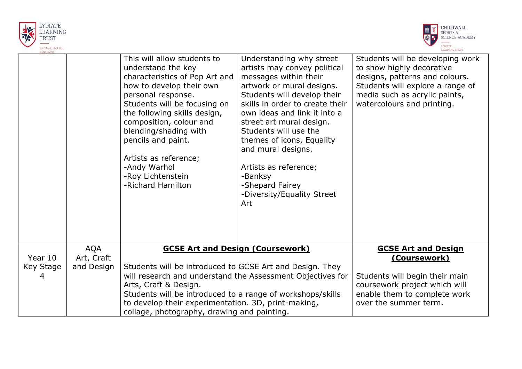



|           |                          | This will allow students to<br>understand the key<br>characteristics of Pop Art and<br>how to develop their own<br>personal response.<br>Students will be focusing on<br>the following skills design,<br>composition, colour and<br>blending/shading with<br>pencils and paint.<br>Artists as reference;<br>-Andy Warhol<br>-Roy Lichtenstein<br>-Richard Hamilton | Understanding why street<br>artists may convey political<br>messages within their<br>artwork or mural designs.<br>Students will develop their<br>skills in order to create their<br>own ideas and link it into a<br>street art mural design.<br>Students will use the<br>themes of icons, Equality<br>and mural designs.<br>Artists as reference;<br>-Banksy<br>-Shepard Fairey<br>-Diversity/Equality Street<br>Art | Students will be developing work<br>to show highly decorative<br>designs, patterns and colours.<br>Students will explore a range of<br>media such as acrylic paints,<br>watercolours and printing. |
|-----------|--------------------------|--------------------------------------------------------------------------------------------------------------------------------------------------------------------------------------------------------------------------------------------------------------------------------------------------------------------------------------------------------------------|----------------------------------------------------------------------------------------------------------------------------------------------------------------------------------------------------------------------------------------------------------------------------------------------------------------------------------------------------------------------------------------------------------------------|----------------------------------------------------------------------------------------------------------------------------------------------------------------------------------------------------|
| Year 10   | <b>AQA</b><br>Art, Craft | <b>GCSE Art and Design (Coursework)</b>                                                                                                                                                                                                                                                                                                                            |                                                                                                                                                                                                                                                                                                                                                                                                                      | <b>GCSE Art and Design</b><br><u>(Coursework)</u>                                                                                                                                                  |
| Key Stage | and Design               | Students will be introduced to GCSE Art and Design. They                                                                                                                                                                                                                                                                                                           |                                                                                                                                                                                                                                                                                                                                                                                                                      |                                                                                                                                                                                                    |
| 4         |                          | will research and understand the Assessment Objectives for                                                                                                                                                                                                                                                                                                         | Students will begin their main                                                                                                                                                                                                                                                                                                                                                                                       |                                                                                                                                                                                                    |
|           |                          | Arts, Craft & Design.<br>Students will be introduced to a range of workshops/skills                                                                                                                                                                                                                                                                                | coursework project which will<br>enable them to complete work                                                                                                                                                                                                                                                                                                                                                        |                                                                                                                                                                                                    |
|           |                          | to develop their experimentation. 3D, print-making,                                                                                                                                                                                                                                                                                                                | over the summer term.                                                                                                                                                                                                                                                                                                                                                                                                |                                                                                                                                                                                                    |
|           |                          | collage, photography, drawing and painting.                                                                                                                                                                                                                                                                                                                        |                                                                                                                                                                                                                                                                                                                                                                                                                      |                                                                                                                                                                                                    |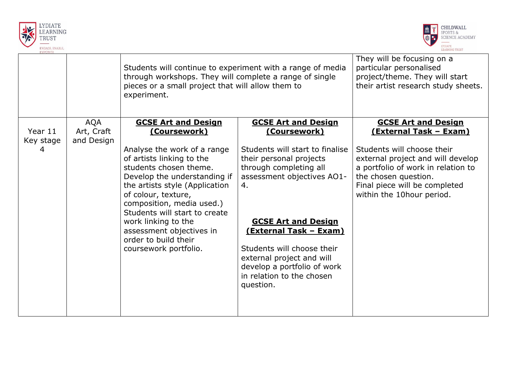



| <b>EMPOWER</b>            |                                        | Students will continue to experiment with a range of media<br>through workshops. They will complete a range of single<br>pieces or a small project that will allow them to<br>experiment.                                                                                                                                                                                                          | They will be focusing on a<br>particular personalised<br>project/theme. They will start<br>their artist research study sheets.                                                                                                                                                                                                                                                   |                                                                                                                                                                                                                                                            |
|---------------------------|----------------------------------------|----------------------------------------------------------------------------------------------------------------------------------------------------------------------------------------------------------------------------------------------------------------------------------------------------------------------------------------------------------------------------------------------------|----------------------------------------------------------------------------------------------------------------------------------------------------------------------------------------------------------------------------------------------------------------------------------------------------------------------------------------------------------------------------------|------------------------------------------------------------------------------------------------------------------------------------------------------------------------------------------------------------------------------------------------------------|
| Year 11<br>Key stage<br>4 | <b>AQA</b><br>Art, Craft<br>and Design | <b>GCSE Art and Design</b><br><u>(Coursework)</u><br>Analyse the work of a range<br>of artists linking to the<br>students chosen theme.<br>Develop the understanding if<br>the artists style (Application<br>of colour, texture,<br>composition, media used.)<br>Students will start to create<br>work linking to the<br>assessment objectives in<br>order to build their<br>coursework portfolio. | <b>GCSE Art and Design</b><br><u>(Coursework)</u><br>Students will start to finalise<br>their personal projects<br>through completing all<br>assessment objectives AO1-<br>4.<br><b>GCSE Art and Design</b><br><u>(External Task – Exam)</u><br>Students will choose their<br>external project and will<br>develop a portfolio of work<br>in relation to the chosen<br>question. | <b>GCSE Art and Design</b><br><u>(External Task - Exam)</u><br>Students will choose their<br>external project and will develop<br>a portfolio of work in relation to<br>the chosen question.<br>Final piece will be completed<br>within the 10hour period. |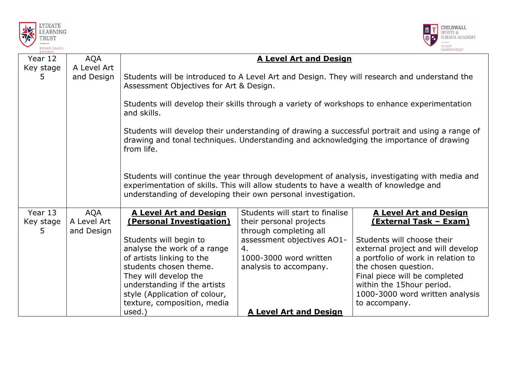



| Year 12         | <b>AQA</b>                | <b>A Level Art and Design</b>                                                                                                                                                                                                                           |                                                   |                                                            |  |  |
|-----------------|---------------------------|---------------------------------------------------------------------------------------------------------------------------------------------------------------------------------------------------------------------------------------------------------|---------------------------------------------------|------------------------------------------------------------|--|--|
| Key stage       | A Level Art               |                                                                                                                                                                                                                                                         |                                                   |                                                            |  |  |
| 5.              | and Design                | Students will be introduced to A Level Art and Design. They will research and understand the<br>Assessment Objectives for Art & Design.                                                                                                                 |                                                   |                                                            |  |  |
|                 |                           | Students will develop their skills through a variety of workshops to enhance experimentation<br>and skills.                                                                                                                                             |                                                   |                                                            |  |  |
|                 |                           | Students will develop their understanding of drawing a successful portrait and using a range of<br>drawing and tonal techniques. Understanding and acknowledging the importance of drawing<br>from life.                                                |                                                   |                                                            |  |  |
|                 |                           | Students will continue the year through development of analysis, investigating with media and<br>experimentation of skills. This will allow students to have a wealth of knowledge and<br>understanding of developing their own personal investigation. |                                                   |                                                            |  |  |
| Year 13         | <b>AQA</b>                | <b>A Level Art and Design</b>                                                                                                                                                                                                                           | Students will start to finalise                   | <b>A Level Art and Design</b>                              |  |  |
| Key stage<br>5. | A Level Art<br>and Design | (Personal Investigation)                                                                                                                                                                                                                                | their personal projects<br>through completing all | <u>(External Task - Exam)</u>                              |  |  |
|                 |                           | Students will begin to                                                                                                                                                                                                                                  | assessment objectives AO1-                        | Students will choose their                                 |  |  |
|                 |                           | analyse the work of a range                                                                                                                                                                                                                             | 4.                                                | external project and will develop                          |  |  |
|                 |                           | of artists linking to the<br>students chosen theme.                                                                                                                                                                                                     | 1000-3000 word written<br>analysis to accompany.  | a portfolio of work in relation to<br>the chosen question. |  |  |
|                 |                           | They will develop the                                                                                                                                                                                                                                   |                                                   | Final piece will be completed                              |  |  |
|                 |                           | understanding if the artists                                                                                                                                                                                                                            |                                                   | within the 15hour period.                                  |  |  |
|                 |                           | style (Application of colour,                                                                                                                                                                                                                           |                                                   | 1000-3000 word written analysis                            |  |  |
|                 |                           | texture, composition, media                                                                                                                                                                                                                             |                                                   | to accompany.                                              |  |  |
|                 |                           | used.)                                                                                                                                                                                                                                                  | <b>A Level Art and Design</b>                     |                                                            |  |  |